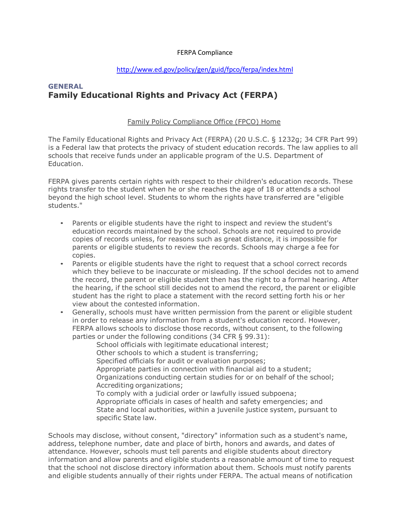## FERPA Compliance

## <http://www.ed.gov/policy/gen/guid/fpco/ferpa/index.html>

## **GENERAL Family Educational Rights and Privacy Act (FERPA)**

## Family Policy [Compliance](http://www.ed.gov/policy/gen/guid/fpco/index.html) Office (FPCO) Home

The Family Educational Rights and Privacy Act (FERPA) (20 U.S.C. § 1232g; 34 CFR Part 99) is a Federal law that protects the privacy of student education records. The law applies to all schools that receive funds under an applicable program of the U.S. Department of Education.

FERPA gives parents certain rights with respect to their children's education records. These rights transfer to the student when he or she reaches the age of 18 or attends a school beyond the high school level. Students to whom the rights have transferred are "eligible students."

- Parents or eligible students have the right to inspect and review the student's education records maintained by the school. Schools are not required to provide copies of records unless, for reasons such as great distance, it is impossible for parents or eligible students to review the records. Schools may charge a fee for copies.
- Parents or eligible students have the right to request that a school correct records which they believe to be inaccurate or misleading. If the school decides not to amend the record, the parent or eligible student then has the right to a formal hearing. After the hearing, if the school still decides not to amend the record, the parent or eligible student has the right to place a statement with the record setting forth his or her view about the contested information.
- Generally, schools must have written permission from the parent or eligible student in order to release any information from a student's education record. However, FERPA allows schools to disclose those records, without consent, to the following parties or under the following conditions (34 CFR § 99.31):

School officials with legitimate educational interest; Other schools to which a student is transferring; Specified officials for audit or evaluation purposes; Appropriate parties in connection with financial aid to a student; Organizations conducting certain studies for or on behalf of the school; Accrediting organizations; To comply with a judicial order or lawfully issued subpoena; Appropriate officials in cases of health and safety emergencies; and State and local authorities, within a juvenile justice system, pursuant to specific State law.

Schools may disclose, without consent, "directory" information such as a student's name, address, telephone number, date and place of birth, honors and awards, and dates of attendance. However, schools must tell parents and eligible students about directory information and allow parents and eligible students a reasonable amount of time to request that the school not disclose directory information about them. Schools must notify parents and eligible students annually of their rights under FERPA. The actual means of notification